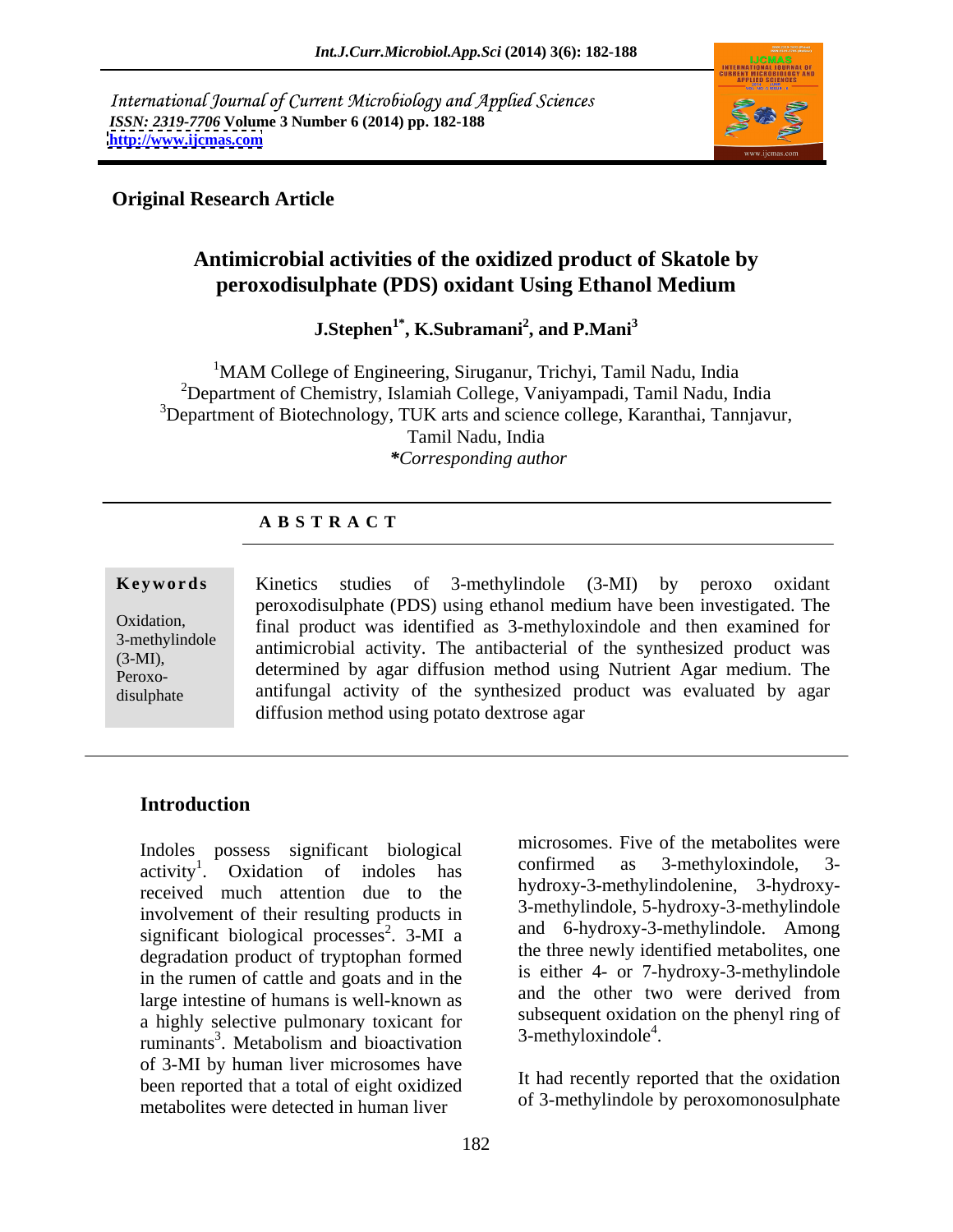International Journal of Current Microbiology and Applied Sciences *ISSN: 2319-7706* **Volume 3 Number 6 (2014) pp. 182-188 <http://www.ijcmas.com>**



## **Original Research Article**

# **Antimicrobial activities of the oxidized product of Skatole by peroxodisulphate (PDS) oxidant Using Ethanol Medium**

**J.Stephen1\* , K.Subramani<sup>2</sup> , and P.Mani<sup>3</sup>**

<sup>1</sup>MAM College of Engineering, Siruganur, Trichyi, Tamil Nadu, India 2Department of Chemistry, Islamiah College, Vaniyampadi, Tamil Nadu, India  $3$ Department of Biotechnology, TUK arts and science college, Karanthai, Tannjavur, Tamil Nadu, India *\*Corresponding author* 

### **A B S T R A C T**

**Ke ywo rds** Kinetics studies of 3-methylindole (3-MI) by peroxo oxidant Oxidation, final product was identified as 3-methyloxindole and then examined for  $\frac{3-methylindole}{\text{antimicrobial activity}}$ . The antibacterial of the synthesized product was  $(3-MI)$ ,  $(3-MI)$ ,  $(3-MI)$ ,  $(3-MI)$ ,  $(3-MI)$ ,  $(3-MI)$ ,  $(3-MI)$ ,  $(3-MI)$ ,  $(3-MI)$ ,  $(3-MI)$ ,  $(3-MI)$ ,  $(3-MI)$ ,  $(3-MI)$ ,  $(3-MI)$ ,  $(3-MI)$ ,  $(3-MI)$ ,  $(3-MI)$ ,  $(3-MI)$ ,  $(3-MI)$ ,  $(3-MI)$ ,  $(3-MI)$ ,  $(3-MI)$ ,  $(3-MI)$ ,  $(3-MI)$ ,  $(3-MI$ Peroxo- determined by agar diffusion method using Nutrient Agar medium. The disulphate antifungal activity of the synthesized product was evaluated by agar peroxodisulphate (PDS) using ethanol medium have been investigated. The diffusion method using potato dextrose agar

## **Introduction**

Indoles possess significant biological microsomes. Five of the metabolities were<br>equivity of original confirmed as 3-methyloxindole, 3activity<sup>1</sup>. Oxidation of indoles has received much attention due to the involvement of their resulting products in significant biological processes<sup>2</sup>.  $3-MI$  a degradation product of tryptophan formed in the rumen of cattle and goats and in the the state of  $\frac{1}{2}$  is either 4- or /-hydroxy-3-methylindole large intestine of humans is well-known as a highly selective pulmonary toxicant for subsequent oxidation<br>municipality of the detection of the selectivation of the 3-methyloxindole<sup>4</sup>. ruminants<sup>3</sup>. Metabolism and bioactivation . Metabolism and bioactivation  $\frac{3-\text{m} \cdot \text{m}}{2-\text{m}}$ of 3-MI by human liver microsomes have been reported that a total of eight oxidized metabolites were detected in human liver

. Oxidation of indoles has continued as  $\beta$ -methyloxingole,  $\beta$ - $\frac{2}{3}$  3-MI a and 6-hydroxy-3-methylindole. Among microsomes. Five of the metabolites were confirmed as 3-methyloxindole, 3 hydroxy-3-methylindolenine, 3-hydroxy- 3-methylindole, 5-hydroxy-3-methylindole the three newly identified metabolites, one is either 4- or 7-hydroxy-3-methylindole and the other two were derived from subsequent oxidation on the phenyl ring of  $3$ -methyloxindole<sup>4</sup>. .

> It had recently reported that the oxidation of 3-methylindole by peroxomonosulphate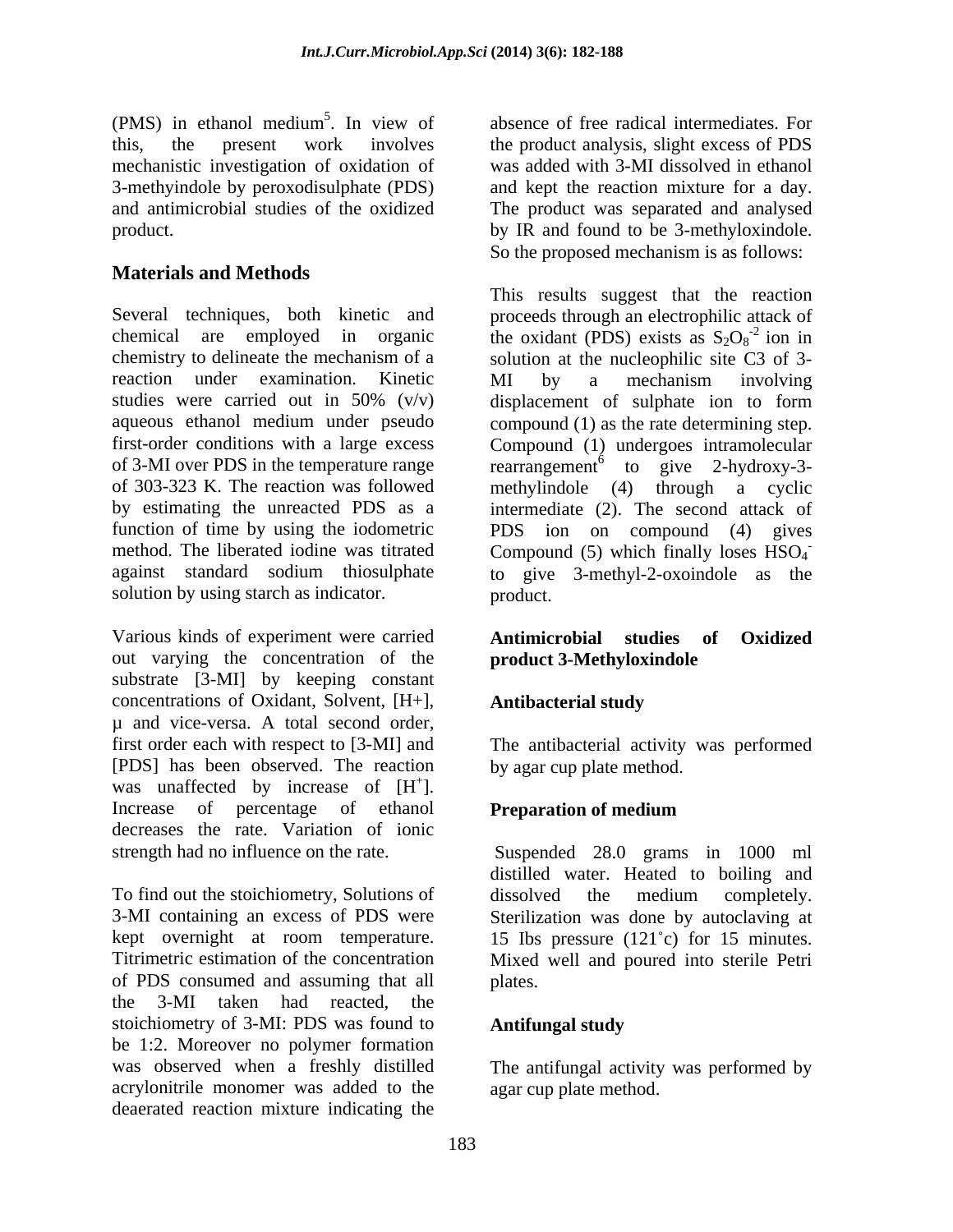(PMS) in ethanol medium<sup>3</sup>. In view of absence of free radical intermediates. For this, the present work involves the product analysis, slight excess of PDS mechanistic investigation of oxidation of 3-methyindole by peroxodisulphate (PDS) and kept the reaction mixture for a day. and antimicrobial studies of the oxidized The product was separated and analysed product. by IR and found to be 3-methyloxindole.

## **Materials and Methods**

Several techniques, both kinetic and proceeds through an electrophilic attack of chemical are employed in organic the oxidant (PDS) exists as  $S_2O_8^{-2}$  ion in chemistry to delineate the mechanism of a solution at the nucleophilic site C3 of 3 reaction under examination. Kinetic MI by a mechanism involving studies were carried out in 50% (v/v) displacement of sulphate ion to form aqueous ethanol medium under pseudo compound (1) as the rate determining step. first-order conditions with a large excess Compound (1) undergoes intramolecular of 3-MI over PDS in the temperature range rearrangement<sup>6</sup> to give 2-hydroxy-3of 303-323 K. The reaction was followed methylindole (4) through a cyclic by estimating the unreacted PDS as a intermediate (2). The second attack of function of time by using the iodometric PDS ion on compound (4) gives method. The liberated iodine was titrated Compound (5) which finally loses  $HSO<sub>4</sub>$ against standard sodium thiosulphate to give 3-methyl-2-oxoindole as the solution by using starch as indicator. product.

Various kinds of experiment were carried **Antimicrobial studies of Oxidized** out varying the concentration of the substrate [3-MI] by keeping constant concentrations of Oxidant, Solvent, [H+], µ and vice-versa. A total second order, first order each with respect to [3-MI] and [PDS] has been observed. The reaction was unaffected by increase of  $[H^+]$ . ]. Increase of percentage of ethanol **Preparation of medium** decreases the rate. Variation of ionic

To find out the stoichiometry, Solutions of dissolved the medium completely. 3-MI containing an excess of PDS were Sterilization was done by autoclaving at kept overnight at room temperature. 15 Ibs pressure (121<sup>o</sup>c) for 15 minutes. Titrimetric estimation of the concentration Mixed well and poured into sterile Petri of PDS consumed and assuming that all the 3-MI taken had reacted, the stoichiometry of 3-MI: PDS was found to **Antifungal study** be 1:2. Moreover no polymer formation was observed when a freshly distilled The antifungal activity was performed by acrylonitrile monomer was added to the deaerated reaction mixture indicating the

<sup>5</sup>. In view of absence of free radical intermediates. For was added with 3-MI dissolved in ethanol So the proposed mechanism is as follows:

This results suggest that the reaction  $\frac{1}{2}$  ion in MI by a mechanism involving **-** And the state of the state of the product.

## **Antimicrobial studies of Oxidized product 3-Methyloxindole**

## **Antibacterial study**

 $\ddot{\mathbf{r}}$  +  $\mathbf{r}$ The antibacterial activity was performed by agar cup plate method.

## **Preparation of medium**

strength had no influence on the rate. Suspended 28.0 grams in 1000 ml distilled water. Heated to boiling and dissolved the medium completely. plates.

### **Antifungal study**

agar cup plate method.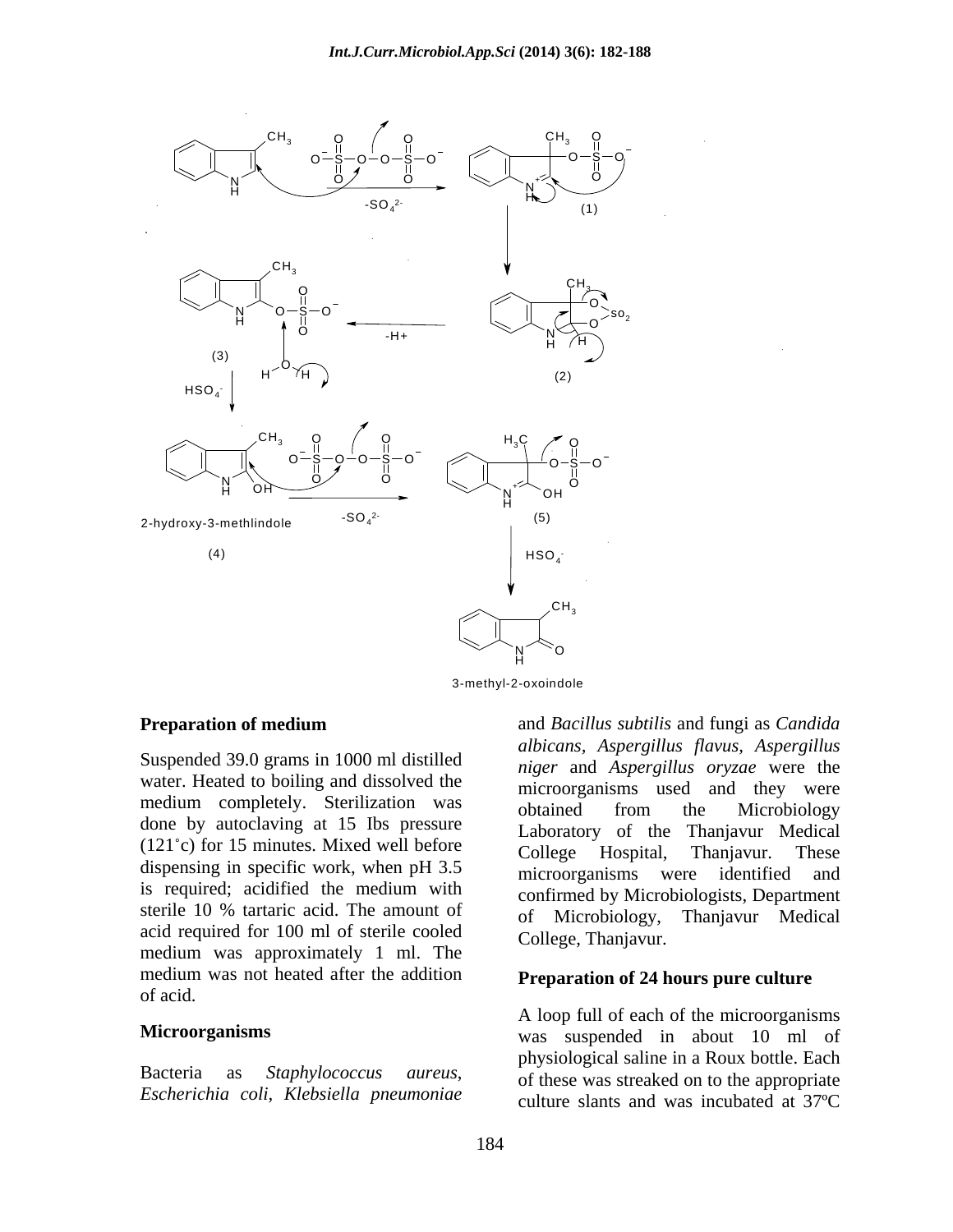

3-methyl-2-oxoindole

Suspended 39.0 grams in 1000 ml distilled water. Heated to boiling and dissolved the medium completely. Sterilization was behavior obtained from the Microbiology done by autoclaving at 15 Ibs pressure (121<sup>°</sup>c) for 15 minutes. Mixed well before College Hospital, Thanjavur. These dispensing in specific work, when pH 3.5 microorganisms were identified and is required; acidified the medium with sterile 10 % tartaric acid. The amount of or Microbiology, acid required for 100 ml of sterile cooled College Thanianur medium was approximately 1 ml. The medium was not heated after the addition of acid.

*Escherichia coli, Klebsiella pneumoniae*

**Preparation of medium** and *Bacillus subtilis* and fungi as *Candida* sterile 10 % tartaric acid. The amount of  $\sigma_f$  Microbiology Thaniayur Medical and *Bacillus subtilis* and fungi as *Candida albicans, Aspergillus flavus, Aspergillus niger* and *Aspergillus oryzae* were the microorganisms used and they were obtained from the Microbiology Laboratory of the Thanjavur Medical College Hospital, Thanjavur. These microorganisms were identified and confirmed by Microbiologists, Department Thanjavur Medical College, Thanjavur.

### **Preparation of 24 hours pure culture**

**Microorganisms Microorganisms was** suspended in about 10 ml of Bacteria as *Staphylococcus aureus*, of these was streaked on to the appropriate A loop full of each of the microorganisms physiological saline in a Roux bottle. Each culture slants and was incubated at 37ºC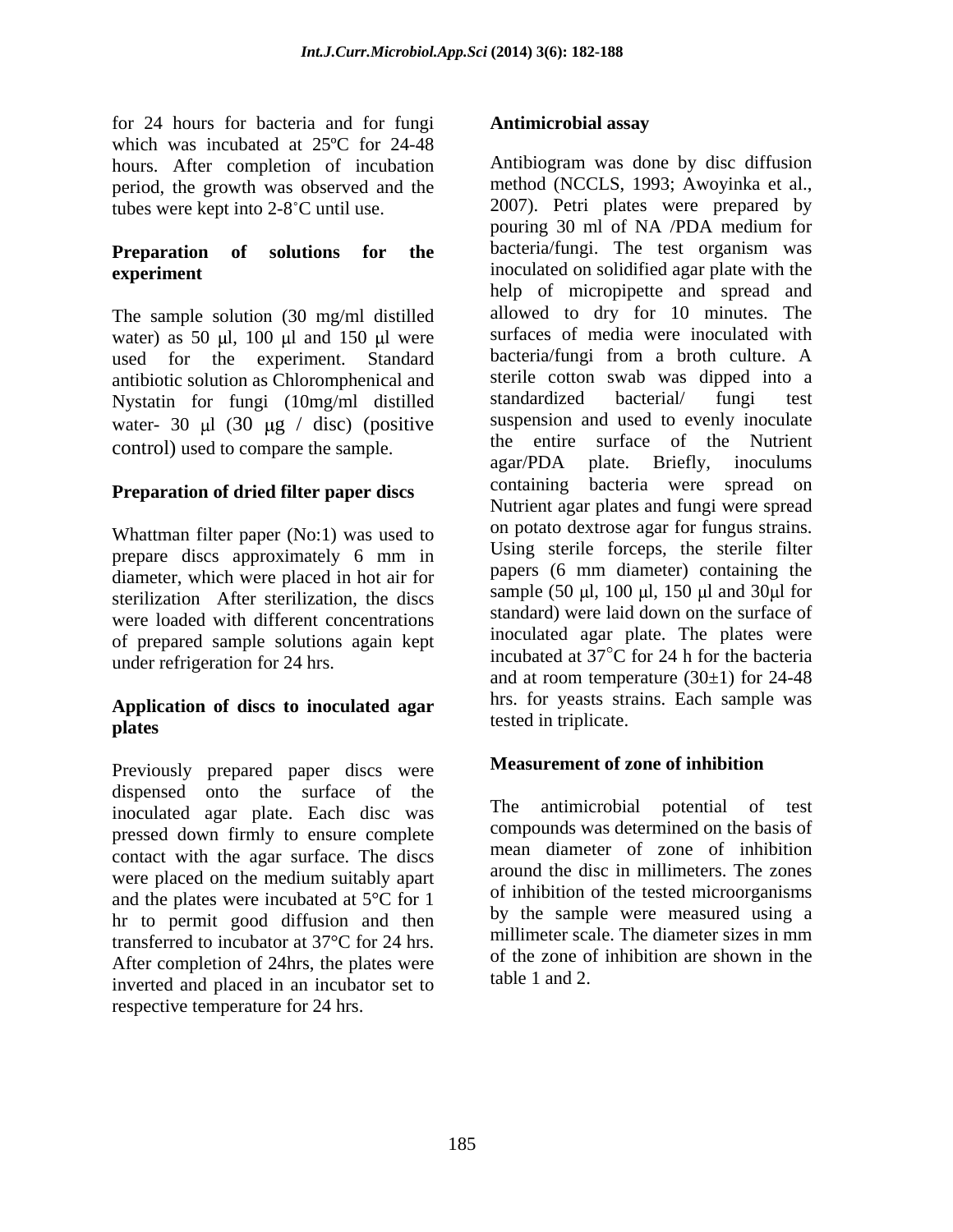for 24 hours for bacteria and for fungi which was incubated at 25ºC for 24-48 hours. After completion of incubation period, the growth was observed and the

The sample solution (30 mg/ml distilled water) as 50  $\mu$ l, 100  $\mu$ l and 150  $\mu$ l were used for the experiment. Standard antibiotic solution as Chloromphenical and<br>
Nystatin for fungi (10mg/ml distilled standardized bacterial/ fungi test Nystatin for fungi (10mg/ml distilled water- 30  $\mu$ l (30  $\mu$ g / disc) (positive

## **Preparation of dried filter paper discs**

Whattman filter paper (No:1) was used to prepare discs approximately 6 mm in diameter, which were placed in hot air for sterilization After sterilization, the discs were loaded with different concentrations of prepared sample solutions again kept

## **Application of discs to inoculated agar plates expanding the control of the control of the control of the control of the control of the control of the control of the control of the control of the control of the control of the control of the control of the con**

Previously prepared paper discs were dispensed onto the surface of the meaninoculated agar plate. Each disc was pressed down firmly to ensure complete contact with the agar surface. The discs and the plates were incubated at 5°C for 1 hr to permit good diffusion and then transferred to incubator at 37°C for 24 hrs. After completion of 24hrs, the plates were inverted and placed in an incubator set to

tubes were kept into  $2-8^\circ$ C until use.  $2007$ . Petri plates were prepared by **Preparation of solutions for the** bacteria/fungi. The test organism was **experiment** inoculated on solidified agar plate with the control) used to compare the sample.<br>agar/PDA plate. Briefly, inoculums under refrigeration for 24 hrs.<br>and at room temperature  $(30\pm 1)$  for 24-48 To 24 hours for the controllar sample (50 m) and the controllar sample (50 m) and the complete temperature and the complete temperature temperature temperature in the controllar associates the controllar period, the growt Antibiogram was done by disc diffusion method (NCCLS, 1993; Awoyinka et al., 2007). Petri plates were prepared by pouring 30 ml of NA /PDA medium for help of micropipette and spread and allowed to dry for 10 minutes. The surfaces of media were inoculated with bacteria/fungi from a broth culture. A sterile cotton swab was dipped into a standardized bacterial/ fungi test suspension and used to evenly inoculate the entire surface of the Nutrient agar/PDA plate. Briefly, inoculums containing bacteria were spread on Nutrient agar plates and fungi were spread on potato dextrose agar for fungus strains. Using sterile forceps, the sterile filter papers (6 mm diameter) containing the sample (50  $\mu$ l, 100  $\mu$ l, 150  $\mu$ l and 30 $\mu$ l for standard) were laid down on the surface of inoculated agar plate. The plates were incubated at  $37^{\circ}$ C for 24 h for the bacteria and at room temperature (30±1) for 24-48 hrs. for yeasts strains. Each sample was tested in triplicate.

## **Measurement of zone of inhibition**

were placed on the medium suitably apart around the disc in millimeters. The zones antimicrobial potential of test compounds was determined on the basis of mean diameter of zone of inhibition around the disc in millimeters. The zones of inhibition of the tested microorganisms by the sample were measured using a millimeter scale. The diameter sizes in mm of the zone of inhibition are shown in the table 1 and 2.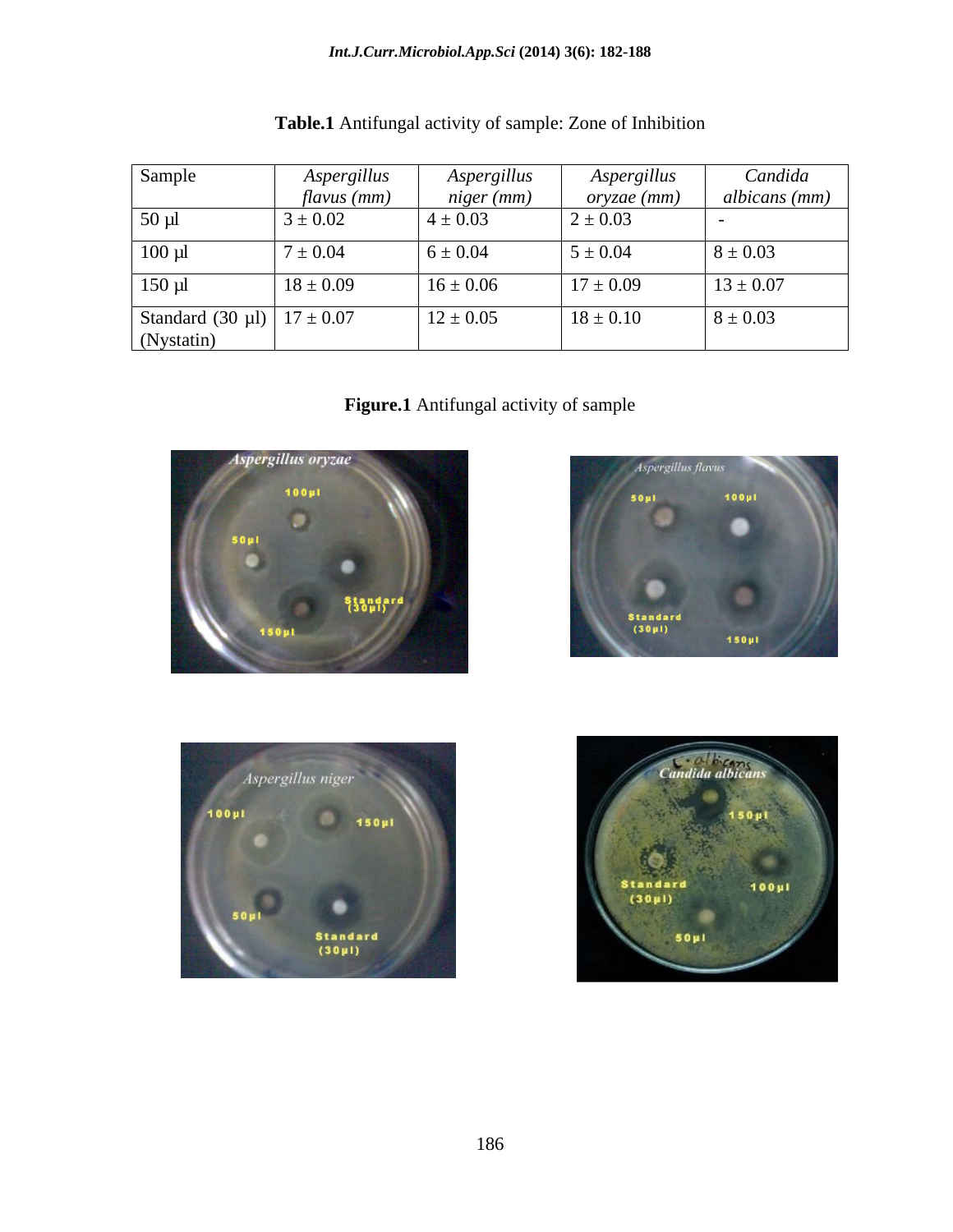| Sample                         | Aspergillus<br>$flavus$ (mm) | Aspergillus<br>niger (mm) | Aspergillus<br><u>oryzae (mm)</u> | Candida<br>albicans (mm) |
|--------------------------------|------------------------------|---------------------------|-----------------------------------|--------------------------|
| $50 \mu l$                     | $3 \pm 0.02$                 | $4 \pm 0.03$              | $2 \pm 0.03$                      |                          |
| $100 \mu l$                    | $7 \pm 0.04$                 | $6 \pm 0.04$              | $5 \pm 0.04$                      | $8 \pm 0.03$             |
| $150 \mu l$                    | $18 \pm 0.09$                | $16 \pm 0.06$             | $17 \pm 0.09$                     | $13 \pm 0.07$            |
| Standard (30 µl) $17 \pm 0.07$ |                              | $12 \pm 0.05$             | $18 \pm 0.10$                     | $8 \pm 0.03$             |
| (Nystatin)                     |                              |                           |                                   |                          |

**Figure.1** Antifungal activity of sample







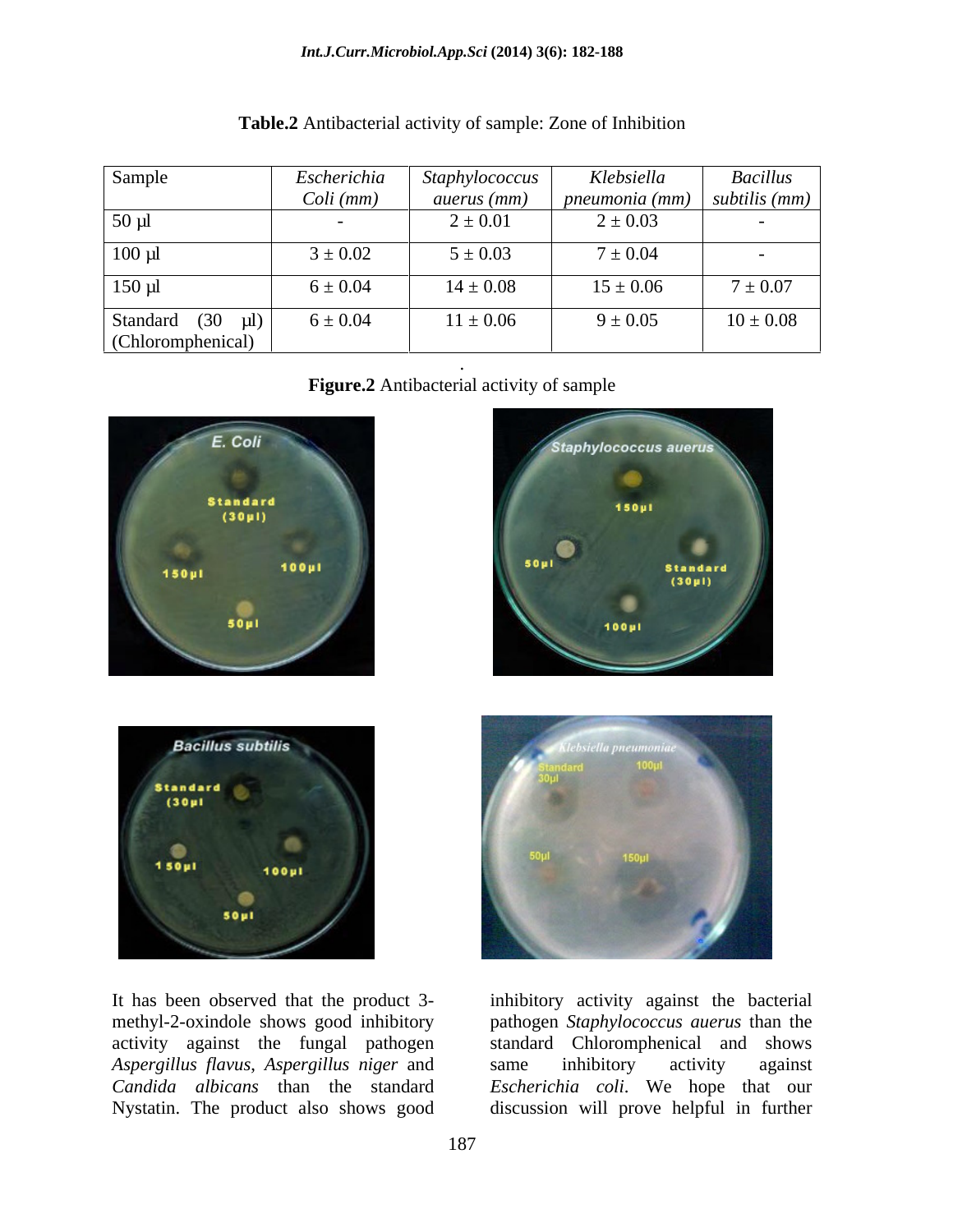### *Int.J.Curr.Microbiol.App.Sci* **(2014) 3(6): 182-188**

| Sample                                | Escherichia<br>Coli (mm) | Staphylococcus<br>auerus (mm) | Klebsiella<br>$\mid$ pneumonia (mm) $\mid$ subtilis (mm) $\mid$ | <b>Bacillus</b> |
|---------------------------------------|--------------------------|-------------------------------|-----------------------------------------------------------------|-----------------|
| $50 \mu l$                            | $\overline{\phantom{0}}$ | $2 \pm 0.01$                  | $2 \pm 0.03$                                                    | $\sim$          |
| $100 \mu l$                           | $3 \pm 0.02$             | $5 \pm 0.03$                  | $7 \pm 0.04$                                                    |                 |
| $150 \mu l$                           | $6 \pm 0.04$             | $14 \pm 0.08$                 | $15 \pm 0.06$                                                   | $7 \pm 0.07$    |
| Standard (30 µl)<br>(Chloromphenical) | $6 \pm 0.04$             | $11 \pm 0.06$                 | $9 \pm 0.05$                                                    | $10 \pm 0.08$   |
|                                       |                          |                               |                                                                 |                 |

| Table.2 Antibacterial activity of sample: Zone of<br>of Inhibition |  |
|--------------------------------------------------------------------|--|
|                                                                    |  |

**Figure.2** Antibacterial activity of sample





*Aspergillus flavus*, *Aspergillus niger* and *Candida albicans* than the standard Nystatin. The product also shows good





It has been observed that the product 3- inhibitory activity against the bacterial methyl-2-oxindole shows good inhibitory pathogen *Staphylococcus auerus* than the activity against the fungal pathogen standard Chloromphenical and shows same inhibitory activity against *Escherichia coli*. We hope that our discussion will prove helpful in further